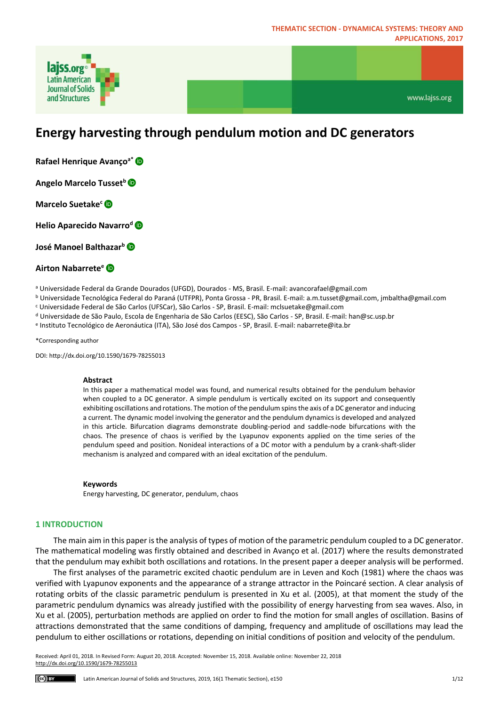

www.lajss.org

# **Energy harvesting through pendulum motion and DC generators**

- **Rafael Henrique Avançoa[\\*](https://orcid.org/0000-0003-2276-0230)**
- **Angelo Marcelo Tusset[b](https://orcid.org/0000-0003-3144-0407)**
- **Mar[c](https://orcid.org/0000-0002-0302-9947)elo Suetake<sup>c</sup>**
- **Helio Aparecido Navarro[d](https://orcid.org/0000-0001-9384-4998)**

**José Manoel Balthazar[b](https://orcid.org/0000-0002-9796-3609)**

## **Airton Nabarrete[e](https://orcid.org/0000-0002-1617-9063)**

<sup>a</sup> Universidade Federal da Grande Dourados (UFGD), Dourados - MS, Brasil. E-mail: avancorafael@gmail.com

<sup>b</sup> Universidade Tecnológica Federal do Paraná (UTFPR), Ponta Grossa - PR, Brasil. E-mail: a.m.tusset@gmail.com, jmbaltha@gmail.com

- <sup>c</sup> Universidade Federal de São Carlos (UFSCar), São Carlos SP, Brasil. E-mail: mclsuetake@gmail.com
- <sup>d</sup> Universidade de São Paulo, Escola de Engenharia de São Carlos (EESC), São Carlos SP, Brasil. E-mail: han@sc.usp.br

e Instituto Tecnológico de Aeronáutica (ITA), São José dos Campos - SP, Brasil. E-mail: nabarrete@ita.br

\*Corresponding author

DOI: http://dx.doi.org/10.1590/1679-78255013

#### **Abstract**

In this paper a mathematical model was found, and numerical results obtained for the pendulum behavior when coupled to a DC generator. A simple pendulum is vertically excited on its support and consequently exhibiting oscillations and rotations. The motion of the pendulum spins the axis of a DC generator and inducing a current. The dynamic model involving the generator and the pendulum dynamics is developed and analyzed in this article. Bifurcation diagrams demonstrate doubling-period and saddle-node bifurcations with the chaos. The presence of chaos is verified by the Lyapunov exponents applied on the time series of the pendulum speed and position. Nonideal interactions of a DC motor with a pendulum by a crank-shaft-slider mechanism is analyzed and compared with an ideal excitation of the pendulum.

#### **Keywords**

Energy harvesting, DC generator, pendulum, chaos

## **1 INTRODUCTION**

The main aim in this paper is the analysis of types of motion of the parametric pendulum coupled to a DC generator. The mathematical modeling was firstly obtained and described in Avanço et al. (2017) where the results demonstrated that the pendulum may exhibit both oscillations and rotations. In the present paper a deeper analysis will be performed.

The first analyses of the parametric excited chaotic pendulum are in Leven and Koch (1981) where the chaos was verified with Lyapunov exponents and the appearance of a strange attractor in the Poincaré section. A clear analysis of rotating orbits of the classic parametric pendulum is presented in Xu et al. (2005), at that moment the study of the parametric pendulum dynamics was already justified with the possibility of energy harvesting from sea waves. Also, in Xu et al. (2005), perturbation methods are applied on order to find the motion for small angles of oscillation. Basins of attractions demonstrated that the same conditions of damping, frequency and amplitude of oscillations may lead the pendulum to either oscillations or rotations, depending on initial conditions of position and velocity of the pendulum.

Received: April 01, 2018. In Revised Form: August 20, 2018. Accepted: November 15, 2018. Available online: November 22, 2018 http://dx.doi.org/10.1590/1679-78255013

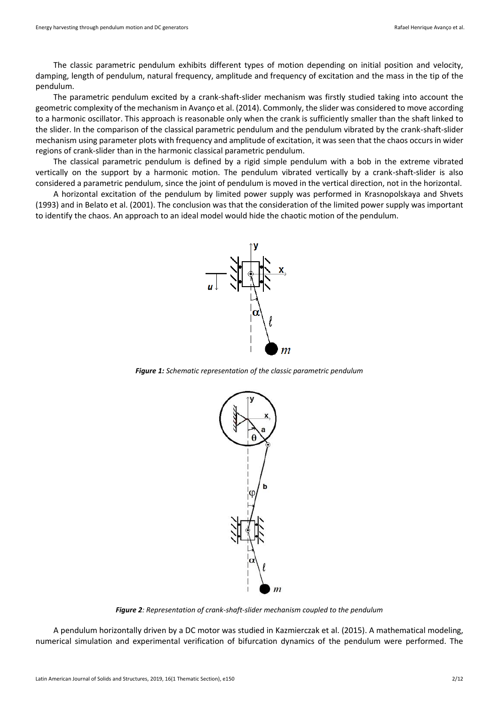The classic parametric pendulum exhibits different types of motion depending on initial position and velocity, damping, length of pendulum, natural frequency, amplitude and frequency of excitation and the mass in the tip of the pendulum.

The parametric pendulum excited by a crank-shaft-slider mechanism was firstly studied taking into account the geometric complexity of the mechanism in Avanço et al. (2014). Commonly, the slider was considered to move according to a harmonic oscillator. This approach is reasonable only when the crank is sufficiently smaller than the shaft linked to the slider. In the comparison of the classical parametric pendulum and the pendulum vibrated by the crank-shaft-slider mechanism using parameter plots with frequency and amplitude of excitation, it was seen that the chaos occurs in wider regions of crank-slider than in the harmonic classical parametric pendulum.

The classical parametric pendulum is defined by a rigid simple pendulum with a bob in the extreme vibrated vertically on the support by a harmonic motion. The pendulum vibrated vertically by a crank-shaft-slider is also considered a parametric pendulum, since the joint of pendulum is moved in the vertical direction, not in the horizontal.

A horizontal excitation of the pendulum by limited power supply was performed in Krasnopolskaya and Shvets (1993) and in Belato et al. (2001). The conclusion was that the consideration of the limited power supply was important to identify the chaos. An approach to an ideal model would hide the chaotic motion of the pendulum.



*Figure 1: Schematic representation of the classic parametric pendulum*



*Figure 2: Representation of crank-shaft-slider mechanism coupled to the pendulum*

A pendulum horizontally driven by a DC motor was studied in Kazmierczak et al. (2015). A mathematical modeling, numerical simulation and experimental verification of bifurcation dynamics of the pendulum were performed. The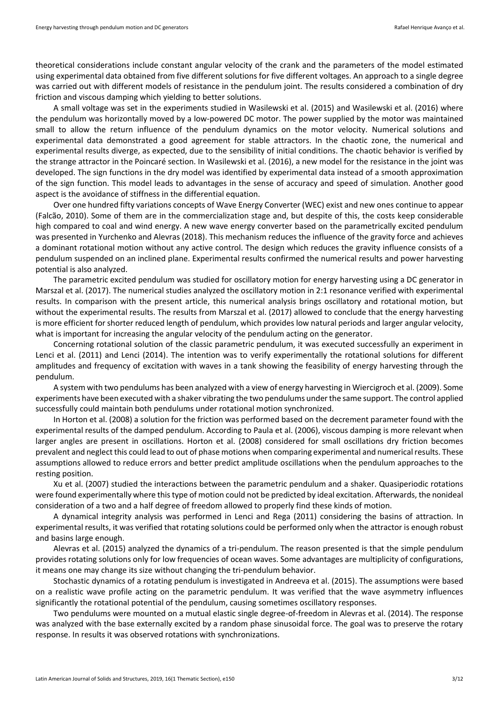theoretical considerations include constant angular velocity of the crank and the parameters of the model estimated using experimental data obtained from five different solutions for five different voltages. An approach to a single degree was carried out with different models of resistance in the pendulum joint. The results considered a combination of dry friction and viscous damping which yielding to better solutions.

A small voltage was set in the experiments studied in Wasilewski et al. (2015) and Wasilewski et al. (2016) where the pendulum was horizontally moved by a low-powered DC motor. The power supplied by the motor was maintained small to allow the return influence of the pendulum dynamics on the motor velocity. Numerical solutions and experimental data demonstrated a good agreement for stable attractors. In the chaotic zone, the numerical and experimental results diverge, as expected, due to the sensibility of initial conditions. The chaotic behavior is verified by the strange attractor in the Poincaré section. In Wasilewski et al. (2016), a new model for the resistance in the joint was developed. The sign functions in the dry model was identified by experimental data instead of a smooth approximation of the sign function. This model leads to advantages in the sense of accuracy and speed of simulation. Another good aspect is the avoidance of stiffness in the differential equation.

Over one hundred fifty variations concepts of Wave Energy Converter (WEC) exist and new ones continue to appear (Falcão, 2010). Some of them are in the commercialization stage and, but despite of this, the costs keep considerable high compared to coal and wind energy. A new wave energy converter based on the parametrically excited pendulum was presented in Yurchenko and Alevras (2018). This mechanism reduces the influence of the gravity force and achieves a dominant rotational motion without any active control. The design which reduces the gravity influence consists of a pendulum suspended on an inclined plane. Experimental results confirmed the numerical results and power harvesting potential is also analyzed.

The parametric excited pendulum was studied for oscillatory motion for energy harvesting using a DC generator in Marszal et al. (2017). The numerical studies analyzed the oscillatory motion in 2:1 resonance verified with experimental results. In comparison with the present article, this numerical analysis brings oscillatory and rotational motion, but without the experimental results. The results from Marszal et al. (2017) allowed to conclude that the energy harvesting is more efficient for shorter reduced length of pendulum, which provides low natural periods and larger angular velocity, what is important for increasing the angular velocity of the pendulum acting on the generator.

Concerning rotational solution of the classic parametric pendulum, it was executed successfully an experiment in Lenci et al. (2011) and Lenci (2014). The intention was to verify experimentally the rotational solutions for different amplitudes and frequency of excitation with waves in a tank showing the feasibility of energy harvesting through the pendulum.

A system with two pendulums has been analyzed with a view of energy harvesting in Wiercigroch et al. (2009). Some experiments have been executed with a shaker vibrating the two pendulums under the same support. The control applied successfully could maintain both pendulums under rotational motion synchronized.

In Horton et al. (2008) a solution for the friction was performed based on the decrement parameter found with the experimental results of the damped pendulum. According to Paula et al. (2006), viscous damping is more relevant when larger angles are present in oscillations. Horton et al. (2008) considered for small oscillations dry friction becomes prevalent and neglect this could lead to out of phase motions when comparing experimental and numerical results. These assumptions allowed to reduce errors and better predict amplitude oscillations when the pendulum approaches to the resting position.

Xu et al. (2007) studied the interactions between the parametric pendulum and a shaker. Quasiperiodic rotations were found experimentally where this type of motion could not be predicted by ideal excitation. Afterwards, the nonideal consideration of a two and a half degree of freedom allowed to properly find these kinds of motion.

A dynamical integrity analysis was performed in Lenci and Rega (2011) considering the basins of attraction. In experimental results, it was verified that rotating solutions could be performed only when the attractor is enough robust and basins large enough.

Alevras et al. (2015) analyzed the dynamics of a tri-pendulum. The reason presented is that the simple pendulum provides rotating solutions only for low frequencies of ocean waves. Some advantages are multiplicity of configurations, it means one may change its size without changing the tri-pendulum behavior.

Stochastic dynamics of a rotating pendulum is investigated in Andreeva et al. (2015). The assumptions were based on a realistic wave profile acting on the parametric pendulum. It was verified that the wave asymmetry influences significantly the rotational potential of the pendulum, causing sometimes oscillatory responses.

Two pendulums were mounted on a mutual elastic single degree-of-freedom in Alevras et al. (2014). The response was analyzed with the base externally excited by a random phase sinusoidal force. The goal was to preserve the rotary response. In results it was observed rotations with synchronizations.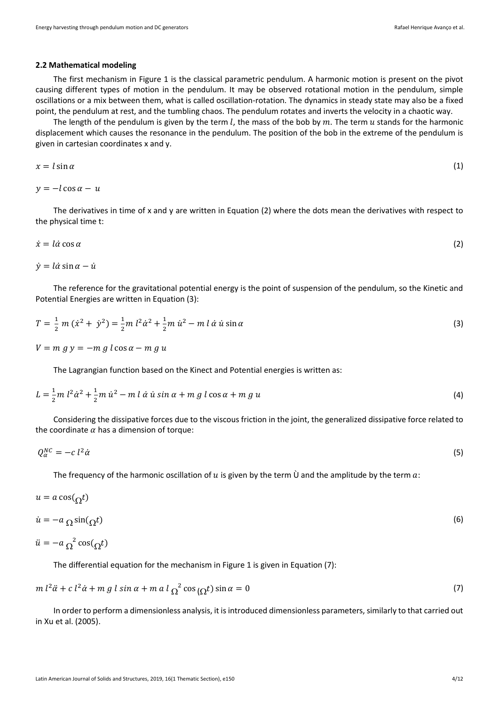#### **2.2 Mathematical modeling**

The first mechanism in Figure 1 is the classical parametric pendulum. A harmonic motion is present on the pivot causing different types of motion in the pendulum. It may be observed rotational motion in the pendulum, simple oscillations or a mix between them, what is called oscillation-rotation. The dynamics in steady state may also be a fixed point, the pendulum at rest, and the tumbling chaos. The pendulum rotates and inverts the velocity in a chaotic way.

The length of the pendulum is given by the term  $l$ , the mass of the bob by  $m$ . The term  $u$  stands for the harmonic displacement which causes the resonance in the pendulum. The position of the bob in the extreme of the pendulum is given in cartesian coordinates x and y.

$$
x = l \sin \alpha \tag{1}
$$

 $y = -l \cos \alpha - u$ 

The derivatives in time of x and y are written in Equation (2) where the dots mean the derivatives with respect to the physical time t:

$$
\dot{x} = l\dot{\alpha}\cos\alpha\tag{2}
$$

 $\dot{v} = l\dot{\alpha} \sin \alpha - \dot{u}$ 

The reference for the gravitational potential energy is the point of suspension of the pendulum, so the Kinetic and Potential Energies are written in Equation (3):

$$
T = \frac{1}{2} m (\dot{x}^2 + \dot{y}^2) = \frac{1}{2} m l^2 \dot{\alpha}^2 + \frac{1}{2} m \dot{u}^2 - m l \dot{\alpha} \dot{u} \sin \alpha
$$
 (3)

 $V = m g y = - m g l \cos \alpha - m g u$ 

The Lagrangian function based on the Kinect and Potential energies is written as:

$$
L = \frac{1}{2}m \, l^2 \dot{\alpha}^2 + \frac{1}{2}m \, \dot{u}^2 - m \, l \, \dot{\alpha} \, \dot{u} \, \sin \alpha + m \, g \, l \cos \alpha + m \, g \, u \tag{4}
$$

Considering the dissipative forces due to the viscous friction in the joint, the generalized dissipative force related to the coordinate  $\alpha$  has a dimension of torque:

$$
Q_{\alpha}^{NC} = -c l^2 \dot{\alpha} \tag{5}
$$

The frequency of the harmonic oscillation of  $u$  is given by the term  $\dot{U}$  and the amplitude by the term  $a$ :

$$
u = a \cos(\Omega t)
$$
  
\n
$$
\dot{u} = -a \cos(\Omega t)
$$
\n(6)

$$
\ddot{u} = -a_{\Omega}^2 \cos(\Omega t)
$$

The differential equation for the mechanism in Figure 1 is given in Equation (7):

$$
m l^2 \ddot{\alpha} + c l^2 \dot{\alpha} + m g l \sin \alpha + m a l \Omega^2 \cos(\Omega t) \sin \alpha = 0
$$
\n(7)

In order to perform a dimensionless analysis, it is introduced dimensionless parameters, similarly to that carried out in Xu et al. (2005).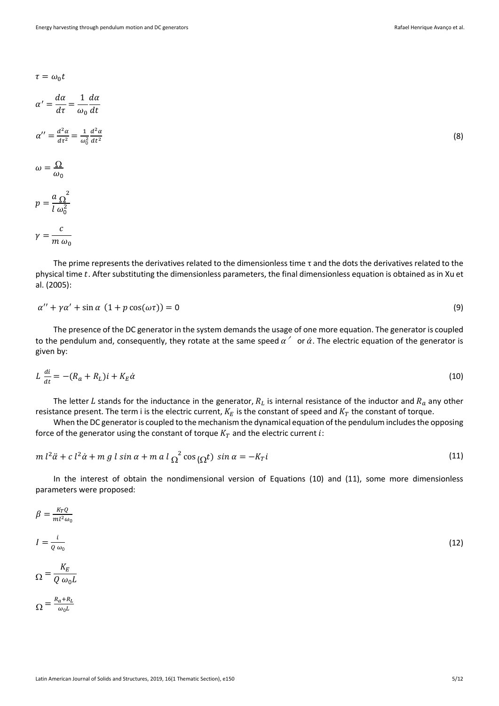(8)

$$
\tau=\omega_0 t
$$

$$
\alpha' = \frac{d\alpha}{d\tau} = \frac{1}{\omega_0} \frac{d\alpha}{dt}
$$

$$
\alpha'' = \frac{d^2 \alpha}{d\tau^2} = \frac{1}{\omega_0^2} \frac{d^2 \alpha}{dt^2}
$$

$$
\omega = \frac{\Omega}{\omega_0}
$$

$$
p = \frac{a \Omega^2}{l \omega_0^2}
$$

$$
\gamma = \frac{c}{m \omega_0}
$$

The prime represents the derivatives related to the dimensionless time τ and the dots the derivatives related to the physical time t. After substituting the dimensionless parameters, the final dimensionless equation is obtained as in Xu et al. (2005):

$$
\alpha'' + \gamma \alpha' + \sin \alpha (1 + p \cos(\omega \tau)) = 0
$$
\n(9)

The presence of the DC generator in the system demands the usage of one more equation. The generator is coupled to the pendulum and, consequently, they rotate at the same speed  $\alpha'$  or  $\dot{\alpha}$ . The electric equation of the generator is given by:

$$
L\frac{di}{dt} = -(R_a + R_L)i + K_E \dot{\alpha} \tag{10}
$$

The letter L stands for the inductance in the generator,  $R_L$  is internal resistance of the inductor and  $R_a$  any other resistance present. The term i is the electric current,  $K_E$  is the constant of speed and  $K_T$  the constant of torque.

When the DC generator is coupled to the mechanism the dynamical equation of the pendulum includes the opposing force of the generator using the constant of torque  $K_T$  and the electric current i:

$$
m l^2 \ddot{\alpha} + c l^2 \dot{\alpha} + m g l \sin \alpha + m a l_{\Omega}^2 \cos_{\Omega} t) \sin \alpha = -K_T i
$$
\n(11)

In the interest of obtain the nondimensional version of Equations (10) and (11), some more dimensionless parameters were proposed:

$$
\beta = \frac{k_T Q}{m l^2 \omega_0}
$$
\n
$$
I = \frac{i}{Q \omega_0}
$$
\n
$$
\Omega = \frac{K_E}{Q \omega_0 L}
$$
\n
$$
\Omega = \frac{R_a + R_L}{\omega_0 L}
$$
\n(12)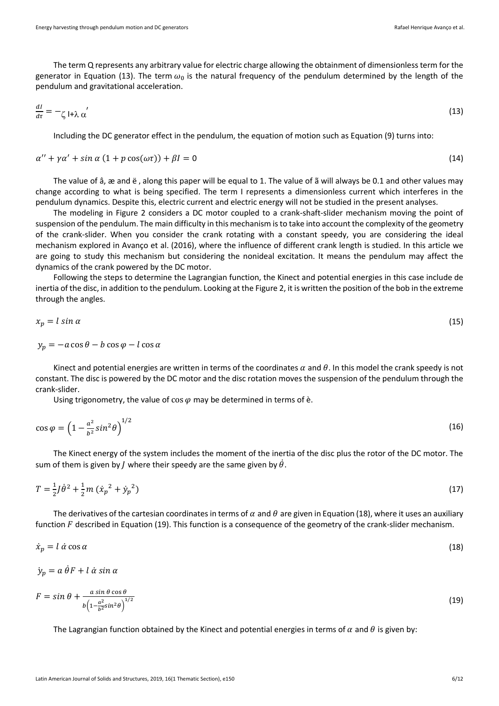The term Q represents any arbitrary value for electric charge allowing the obtainment of dimensionless term for the generator in Equation (13). The term  $\omega_0$  is the natural frequency of the pendulum determined by the length of the pendulum and gravitational acceleration.

$$
\frac{dl}{d\tau} = -\zeta \left| + \lambda \alpha' \right| \tag{13}
$$

Including the DC generator effect in the pendulum, the equation of motion such as Equation (9) turns into:

$$
\alpha'' + \gamma \alpha' + \sin \alpha (1 + p \cos(\omega \tau)) + \beta I = 0 \tag{14}
$$

The value of â, æ and ë , along this paper will be equal to 1. The value of ã will always be 0.1 and other values may change according to what is being specified. The term I represents a dimensionless current which interferes in the pendulum dynamics. Despite this, electric current and electric energy will not be studied in the present analyses.

The modeling in Figure 2 considers a DC motor coupled to a crank-shaft-slider mechanism moving the point of suspension of the pendulum. The main difficulty in this mechanism is to take into account the complexity of the geometry of the crank-slider. When you consider the crank rotating with a constant speedy, you are considering the ideal mechanism explored in Avanço et al. (2016), where the influence of different crank length is studied. In this article we are going to study this mechanism but considering the nonideal excitation. It means the pendulum may affect the dynamics of the crank powered by the DC motor.

Following the steps to determine the Lagrangian function, the Kinect and potential energies in this case include de inertia of the disc, in addition to the pendulum. Looking at the Figure 2, it is written the position of the bob in the extreme through the angles.

$$
x_p = l \sin \alpha \tag{15}
$$

$$
y_p = -a\cos\theta - b\cos\varphi - l\cos\alpha
$$

Kinect and potential energies are written in terms of the coordinates  $\alpha$  and  $\theta$ . In this model the crank speedy is not constant. The disc is powered by the DC motor and the disc rotation moves the suspension of the pendulum through the crank-slider.

Using trigonometry, the value of  $\cos \varphi$  may be determined in terms of è.

$$
\cos \varphi = \left(1 - \frac{a^2}{b^2} \sin^2 \theta\right)^{1/2} \tag{16}
$$

The Kinect energy of the system includes the moment of the inertia of the disc plus the rotor of the DC motor. The sum of them is given by *J* where their speedy are the same given by  $\dot{\theta}$ .

$$
T = \frac{1}{2}J\dot{\theta}^2 + \frac{1}{2}m\left(\dot{x}_p^2 + \dot{y}_p^2\right)
$$
 (17)

The derivatives of the cartesian coordinates in terms of  $\alpha$  and  $\theta$  are given in Equation (18), where it uses an auxiliary function  $F$  described in Equation (19). This function is a consequence of the geometry of the crank-slider mechanism.

$$
\dot{x}_p = l \dot{\alpha} \cos \alpha \tag{18}
$$

$$
\dot{y}_p = a \,\dot{\theta} F + l \,\dot{\alpha} \sin \alpha
$$

$$
F = \sin \theta + \frac{a \sin \theta \cos \theta}{b \left(1 - \frac{a^2}{b^2} \sin^2 \theta\right)^{1/2}}\tag{19}
$$

The Lagrangian function obtained by the Kinect and potential energies in terms of  $\alpha$  and  $\theta$  is given by: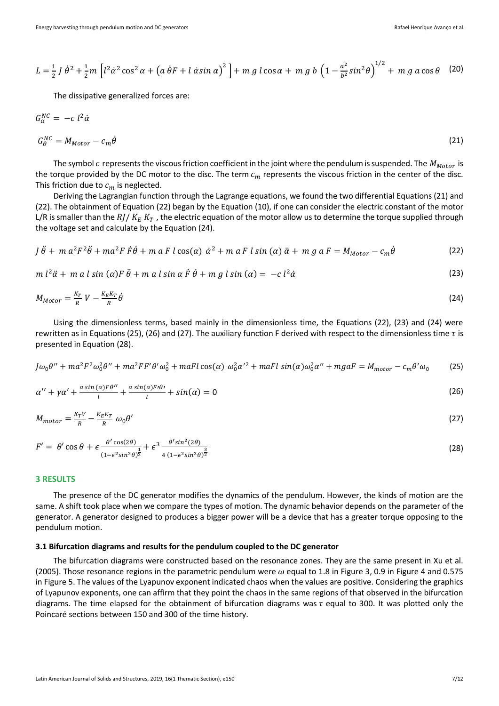$$
L = \frac{1}{2} J \dot{\theta}^2 + \frac{1}{2} m \left[ l^2 \dot{\alpha}^2 \cos^2 \alpha + \left( a \dot{\theta} F + l \dot{\alpha} \sin \alpha \right)^2 \right] + m g l \cos \alpha + m g b \left( 1 - \frac{a^2}{b^2} \sin^2 \theta \right)^{1/2} + m g a \cos \theta \quad (20)
$$

The dissipative generalized forces are:

$$
G_{\alpha}^{NC} = -c l^2 \dot{\alpha}
$$
  
\n
$$
G_{\theta}^{NC} = M_{Motor} - c_m \dot{\theta}
$$
\n(21)

The symbol c represents the viscous friction coefficient in the joint where the pendulum is suspended. The  $M_{Motor}$  is the torque provided by the DC motor to the disc. The term  $c_m$  represents the viscous friction in the center of the disc. This friction due to  $c_m$  is neglected.

Deriving the Lagrangian function through the Lagrange equations, we found the two differential Equations (21) and (22). The obtainment of Equation (22) began by the Equation (10), if one can consider the electric constant of the motor L/R is smaller than the  $R / K_F K_T$ , the electric equation of the motor allow us to determine the torque supplied through the voltage set and calculate by the Equation (24).

$$
J\ddot{\theta} + m a^2 F^2 \ddot{\theta} + m a^2 F \dot{F} \dot{\theta} + m a F l \cos(\alpha) \dot{\alpha}^2 + m a F l \sin(\alpha) \ddot{\alpha} + m g a F = M_{Motor} - c_m \dot{\theta}
$$
 (22)

 $m l^2 \ddot{\alpha} + m a l \sin (\alpha) F \ddot{\theta} + m a l \sin \alpha \dot{F} \dot{\theta} + m g l \sin (\alpha) = -c l$  $2\dot{\alpha}$  (23)

$$
M_{Motor} = \frac{K_T}{R} V - \frac{K_E K_T}{R} \dot{\theta}
$$
 (24)

Using the dimensionless terms, based mainly in the dimensionless time, the Equations (22), (23) and (24) were rewritten as in Equations (25), (26) and (27). The auxiliary function F derived with respect to the dimensionless time  $\tau$  is presented in Equation (28).

$$
J\omega_0\theta^{\prime\prime} + ma^2F^2\omega_0^2\theta^{\prime\prime} + ma^2FF'\theta'\omega_0^2 + maFl\cos(\alpha)\ \omega_0^2\alpha^{\prime 2} + maFl\sin(\alpha)\omega_0^2\alpha^{\prime\prime} + mgaFl = M_{motor} - c_m\theta'\omega_0
$$
 (25)

$$
\alpha'' + \gamma \alpha' + \frac{a \sin(\alpha) F \theta''}{l} + \frac{a \sin(\alpha) F \theta'}{l} + \sin(\alpha) = 0
$$
\n(26)

$$
M_{motor} = \frac{K_T V}{R} - \frac{K_E K_T}{R} \omega_0 \theta'
$$
 (27)

$$
F' = \theta' \cos \theta + \epsilon \frac{\theta' \cos(2\theta)}{(1 - \epsilon^2 \sin^2 \theta)^{\frac{1}{2}}} + \epsilon^3 \frac{\theta' \sin^2(2\theta)}{4 (1 - \epsilon^2 \sin^2 \theta)^{\frac{3}{2}}}
$$
(28)

#### **3 RESULTS**

The presence of the DC generator modifies the dynamics of the pendulum. However, the kinds of motion are the same. A shift took place when we compare the types of motion. The dynamic behavior depends on the parameter of the generator. A generator designed to produces a bigger power will be a device that has a greater torque opposing to the pendulum motion.

## **3.1 Bifurcation diagrams and results for the pendulum coupled to the DC generator**

The bifurcation diagrams were constructed based on the resonance zones. They are the same present in Xu et al. (2005). Those resonance regions in the parametric pendulum were  $\omega$  equal to 1.8 in Figure 3, 0.9 in Figure 4 and 0.575 in Figure 5. The values of the Lyapunov exponent indicated chaos when the values are positive. Considering the graphics of Lyapunov exponents, one can affirm that they point the chaos in the same regions of that observed in the bifurcation diagrams. The time elapsed for the obtainment of bifurcation diagrams was  $\tau$  equal to 300. It was plotted only the Poincaré sections between 150 and 300 of the time history.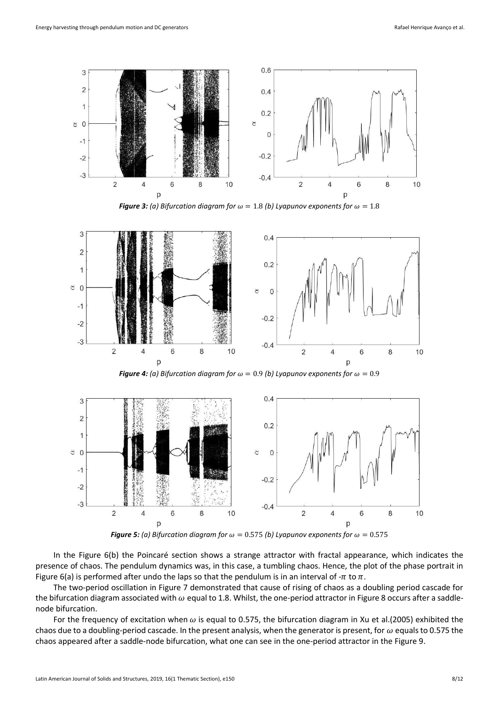

**Figure 3:** (a) Bifurcation diagram for  $\omega = 1.8$  (b) Lyapunov exponents for  $\omega = 1.8$ 



*Figure 4: (a) Bifurcation diagram for*  $\omega = 0.9$  *(b) Lyapunov exponents for*  $\omega = 0.9$ 



*Figure 5: (a) Bifurcation diagram for*  $\omega = 0.575$  *(b) Lyapunov exponents for*  $\omega = 0.575$ 

In the Figure 6(b) the Poincaré section shows a strange attractor with fractal appearance, which indicates the presence of chaos. The pendulum dynamics was, in this case, a tumbling chaos. Hence, the plot of the phase portrait in Figure 6(a) is performed after undo the laps so that the pendulum is in an interval of  $-\pi$  to  $\pi$ .

The two-period oscillation in Figure 7 demonstrated that cause of rising of chaos as a doubling period cascade for the bifurcation diagram associated with  $\omega$  equal to 1.8. Whilst, the one-period attractor in Figure 8 occurs after a saddlenode bifurcation.

For the frequency of excitation when  $\omega$  is equal to 0.575, the bifurcation diagram in Xu et al.(2005) exhibited the chaos due to a doubling-period cascade. In the present analysis, when the generator is present, for  $\omega$  equals to 0.575 the chaos appeared after a saddle-node bifurcation, what one can see in the one-period attractor in the Figure 9.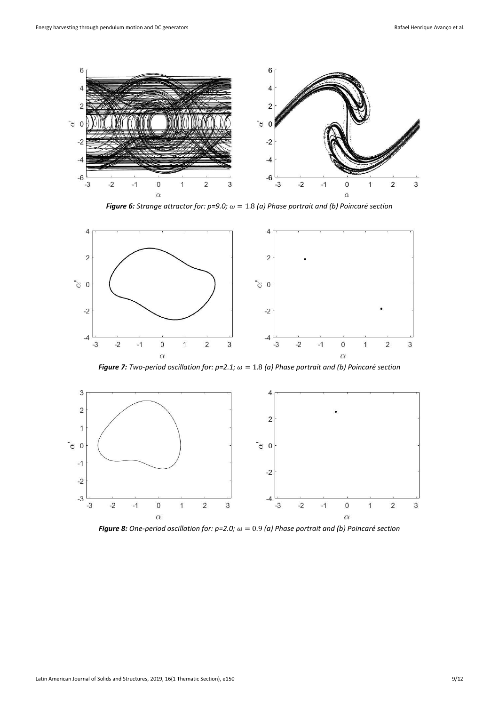

*Figure 6: Strange attractor for: p=9.0;*  $\omega = 1.8$  (a) Phase portrait and (b) Poincaré section



*Figure 7: Two-period oscillation for: p=2.1;*  $\omega = 1.8$  *(a) Phase portrait and (b) Poincaré section* 



*Figure 8: One-period oscillation for: p=2.0;*  $\omega = 0.9$  *(a) Phase portrait and (b) Poincaré section*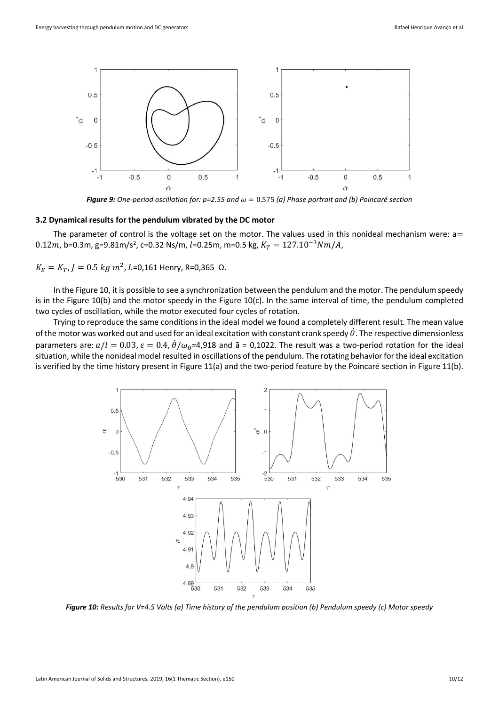

*Figure 9: One-period oscillation for: p=2.55 and*  $\omega = 0.575$  (a) Phase portrait and (b) Poincaré section

#### **3.2 Dynamical results for the pendulum vibrated by the DC motor**

The parameter of control is the voltage set on the motor. The values used in this nonideal mechanism were:  $a=$ 0.12m, b=0.3m, g=9.81m/s<sup>2</sup>, c=0.32 Ns/m, l=0.25m, m=0.5 kg,  $K_T = 127.10^{-3} Nm/A$ ,

 $K_E = K_T$ ,  $J = 0.5$   $kg m^2$ ,  $L = 0,161$  Henry, R=0,365 Ω.

In the Figure 10, it is possible to see a synchronization between the pendulum and the motor. The pendulum speedy is in the Figure 10(b) and the motor speedy in the Figure 10(c). In the same interval of time, the pendulum completed two cycles of oscillation, while the motor executed four cycles of rotation.

Trying to reproduce the same conditions in the ideal model we found a completely different result. The mean value of the motor was worked out and used for an ideal excitation with constant crank speedy  $\dot{\theta}$ . The respective dimensionless parameters are:  $a/l = 0.03$ ,  $\varepsilon = 0.4$ ,  $\dot{\theta}/\omega_0$ =4,918 and  $\tilde{a}$  = 0,1022. The result was a two-period rotation for the ideal situation, while the nonideal model resulted in oscillations of the pendulum. The rotating behavior for the ideal excitation is verified by the time history present in Figure 11(a) and the two-period feature by the Poincaré section in Figure 11(b).



*Figure 10: Results for V=4.5 Volts (a) Time history of the pendulum position (b) Pendulum speedy (c) Motor speedy*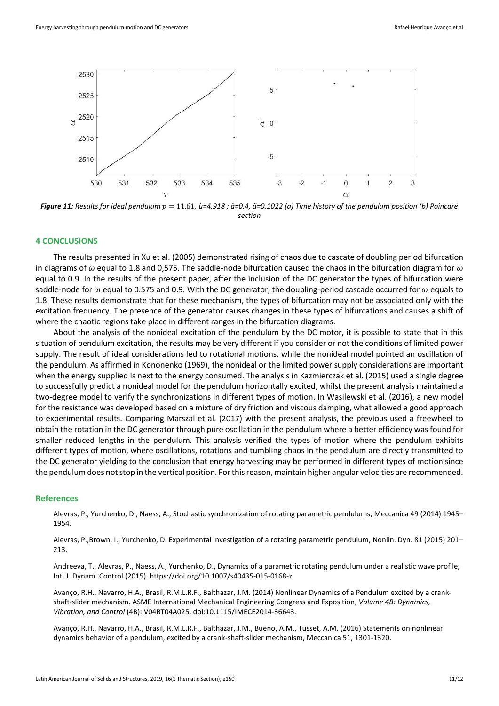

*Figure 11: Results for ideal pendulum*  $p = 11.61$ *, ù=4.918 ; å=0.4, ã=0.1022 (a) Time history of the pendulum position (b) Poincaré section*

### **4 CONCLUSIONS**

The results presented in Xu et al. (2005) demonstrated rising of chaos due to cascate of doubling period bifurcation in diagrams of  $\omega$  equal to 1.8 and 0,575. The saddle-node bifurcation caused the chaos in the bifurcation diagram for  $\omega$ equal to 0.9. In the results of the present paper, after the inclusion of the DC generator the types of bifurcation were saddle-node for  $\omega$  equal to 0.575 and 0.9. With the DC generator, the doubling-period cascade occurred for  $\omega$  equals to 1.8. These results demonstrate that for these mechanism, the types of bifurcation may not be associated only with the excitation frequency. The presence of the generator causes changes in these types of bifurcations and causes a shift of where the chaotic regions take place in different ranges in the bifurcation diagrams.

About the analysis of the nonideal excitation of the pendulum by the DC motor, it is possible to state that in this situation of pendulum excitation, the results may be very different if you consider or not the conditions of limited power supply. The result of ideal considerations led to rotational motions, while the nonideal model pointed an oscillation of the pendulum. As affirmed in Kononenko (1969), the nonideal or the limited power supply considerations are important when the energy supplied is next to the energy consumed. The analysis in Kazmierczak et al. (2015) used a single degree to successfully predict a nonideal model for the pendulum horizontally excited, whilst the present analysis maintained a two-degree model to verify the synchronizations in different types of motion. In Wasilewski et al. (2016), a new model for the resistance was developed based on a mixture of dry friction and viscous damping, what allowed a good approach to experimental results. Comparing Marszal et al. (2017) with the present analysis, the previous used a freewheel to obtain the rotation in the DC generator through pure oscillation in the pendulum where a better efficiency was found for smaller reduced lengths in the pendulum. This analysis verified the types of motion where the pendulum exhibits different types of motion, where oscillations, rotations and tumbling chaos in the pendulum are directly transmitted to the DC generator yielding to the conclusion that energy harvesting may be performed in different types of motion since the pendulum does not stop in the vertical position. For this reason, maintain higher angular velocities are recommended.

#### **References**

Alevras, P., Yurchenko, D., Naess, A., Stochastic synchronization of rotating parametric pendulums, Meccanica 49 (2014) 1945– 1954.

Alevras, P.,Brown, I., Yurchenko, D. Experimental investigation of a rotating parametric pendulum, Nonlin. Dyn. 81 (2015) 201– 213.

Andreeva, T., Alevras, P., Naess, A., Yurchenko, D., Dynamics of a parametric rotating pendulum under a realistic wave profile, Int. J. Dynam. Control (2015). https://doi.org/10.1007/s40435-015-0168-z

Avanço, R.H., Navarro, H.A., Brasil, R.M.L.R.F., Balthazar, J.M. (2014) Nonlinear Dynamics of a Pendulum excited by a crankshaft-slider mechanism. ASME International Mechanical Engineering Congress and Exposition, *Volume 4B: Dynamics, Vibration, and Control* (4B): V04BT04A025. doi:10.1115/IMECE2014-36643.

Avanço, R.H., Navarro, H.A., Brasil, R.M.L.R.F., Balthazar, J.M., Bueno, A.M., Tusset, A.M. (2016) Statements on nonlinear dynamics behavior of a pendulum, excited by a crank-shaft-slider mechanism, Meccanica 51, 1301-1320.